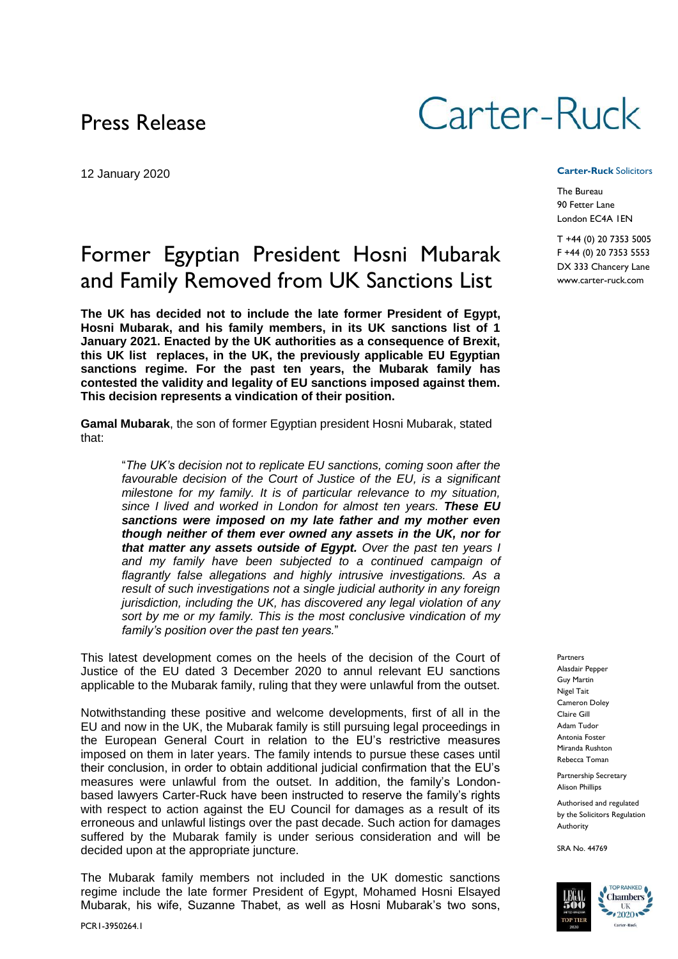### Press Release

12 January 2020

## Former Egyptian President Hosni Mubarak and Family Removed from UK Sanctions List

**The UK has decided not to include the late former President of Egypt, Hosni Mubarak, and his family members, in its UK sanctions list of 1 January 2021. Enacted by the UK authorities as a consequence of Brexit, this UK list replaces, in the UK, the previously applicable EU Egyptian sanctions regime. For the past ten years, the Mubarak family has contested the validity and legality of EU sanctions imposed against them. This decision represents a vindication of their position.**

**Gamal Mubarak**, the son of former Egyptian president Hosni Mubarak, stated that:

"*The UK's decision not to replicate EU sanctions, coming soon after the favourable decision of the Court of Justice of the EU, is a significant milestone for my family. It is of particular relevance to my situation, since I lived and worked in London for almost ten years. These EU sanctions were imposed on my late father and my mother even though neither of them ever owned any assets in the UK, nor for that matter any assets outside of Egypt. Over the past ten years I and my family have been subjected to a continued campaign of flagrantly false allegations and highly intrusive investigations. As a result of such investigations not a single judicial authority in any foreign jurisdiction, including the UK, has discovered any legal violation of any sort by me or my family. This is the most conclusive vindication of my family's position over the past ten years.*"

This latest development comes on the heels of the decision of the Court of Justice of the EU dated 3 December 2020 to annul relevant EU sanctions applicable to the Mubarak family, ruling that they were unlawful from the outset.

Notwithstanding these positive and welcome developments, first of all in the EU and now in the UK, the Mubarak family is still pursuing legal proceedings in the European General Court in relation to the EU's restrictive measures imposed on them in later years. The family intends to pursue these cases until their conclusion, in order to obtain additional judicial confirmation that the EU's measures were unlawful from the outset. In addition, the family's Londonbased lawyers Carter-Ruck have been instructed to reserve the family's rights with respect to action against the EU Council for damages as a result of its erroneous and unlawful listings over the past decade. Such action for damages suffered by the Mubarak family is under serious consideration and will be decided upon at the appropriate juncture.

The Mubarak family members not included in the UK domestic sanctions regime include the late former President of Egypt, Mohamed Hosni Elsayed Mubarak, his wife, Suzanne Thabet, as well as Hosni Mubarak's two sons,

# Carter-Ruck

#### **Carter-Ruck** Solicitors

The Bureau 90 Fetter Lane London EC4A 1EN

T +44 (0) 20 7353 5005 F +44 (0) 20 7353 5553 DX 333 Chancery Lane www.carter-ruck.com

Partners Alasdair Pepper Guy Martin Nigel Tait Cameron Doley Claire Gill Adam Tudor Antonia Foster Miranda Rushton Rebecca Toman

Partnership Secretary Alison Phillips

Authorised and regulated by the Solicitors Regulation Authority

SRA No. 44769

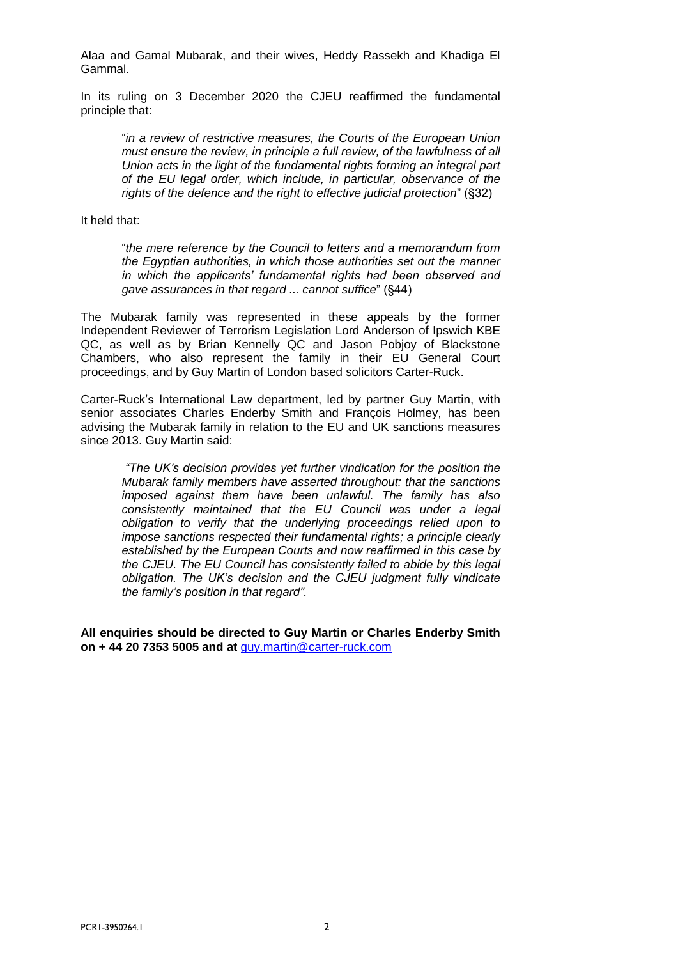Alaa and Gamal Mubarak, and their wives, Heddy Rassekh and Khadiga El Gammal.

In its ruling on 3 December 2020 the CJEU reaffirmed the fundamental principle that:

"*in a review of restrictive measures, the Courts of the European Union must ensure the review, in principle a full review, of the lawfulness of all Union acts in the light of the fundamental rights forming an integral part of the EU legal order, which include, in particular, observance of the rights of the defence and the right to effective judicial protection*" (§32)

It held that:

"*the mere reference by the Council to letters and a memorandum from the Egyptian authorities, in which those authorities set out the manner in which the applicants' fundamental rights had been observed and gave assurances in that regard ... cannot suffice*" (§44)

The Mubarak family was represented in these appeals by the former Independent Reviewer of Terrorism Legislation Lord Anderson of Ipswich KBE QC, as well as by Brian Kennelly QC and Jason Pobjoy of Blackstone Chambers, who also represent the family in their EU General Court proceedings, and by Guy Martin of London based solicitors Carter-Ruck.

Carter-Ruck's International Law department, led by partner Guy Martin, with senior associates Charles Enderby Smith and François Holmey, has been advising the Mubarak family in relation to the EU and UK sanctions measures since 2013. Guy Martin said:

*"The UK's decision provides yet further vindication for the position the Mubarak family members have asserted throughout: that the sanctions imposed against them have been unlawful. The family has also consistently maintained that the EU Council was under a legal obligation to verify that the underlying proceedings relied upon to impose sanctions respected their fundamental rights; a principle clearly established by the European Courts and now reaffirmed in this case by the CJEU. The EU Council has consistently failed to abide by this legal obligation. The UK's decision and the CJEU judgment fully vindicate the family's position in that regard".* 

**All enquiries should be directed to Guy Martin or Charles Enderby Smith on + 44 20 7353 5005 and at** [guy.martin@carter-ruck.com](mailto:guy.martin@carter-ruck.com)